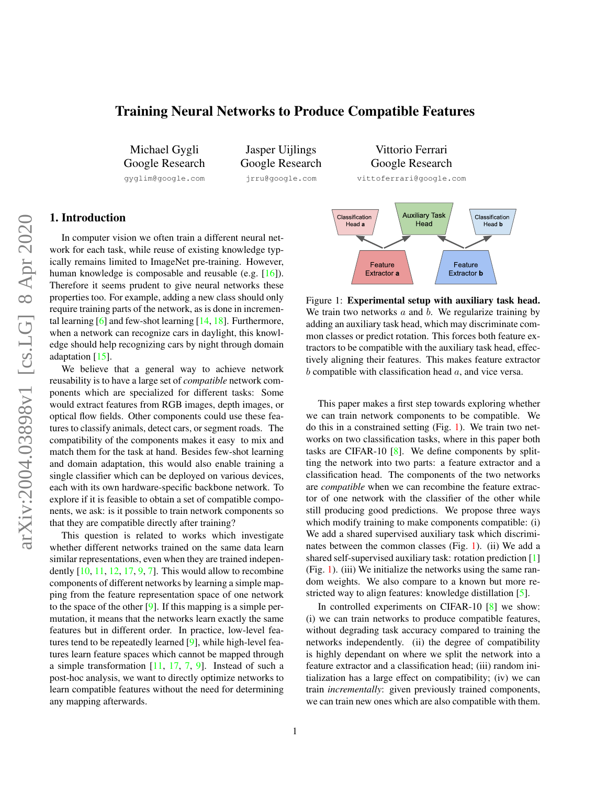# <span id="page-0-1"></span>Training Neural Networks to Produce Compatible Features

Michael Gygli Google Research

gyglim@google.com

Jasper Uijlings Google Research jrru@google.com

Vittorio Ferrari Google Research vittoferrari@google.com

# 1. Introduction

In computer vision we often train a different neural network for each task, while reuse of existing knowledge typically remains limited to ImageNet pre-training. However, human knowledge is composable and reusable (e.g. [\[16\]](#page-3-0)). Therefore it seems prudent to give neural networks these properties too. For example, adding a new class should only require training parts of the network, as is done in incremental learning  $[6]$  and few-shot learning  $[14, 18]$  $[14, 18]$  $[14, 18]$ . Furthermore, when a network can recognize cars in daylight, this knowledge should help recognizing cars by night through domain adaptation [\[15\]](#page-3-4).

We believe that a general way to achieve network reusability is to have a large set of *compatible* network components which are specialized for different tasks: Some would extract features from RGB images, depth images, or optical flow fields. Other components could use these features to classify animals, detect cars, or segment roads. The compatibility of the components makes it easy to mix and match them for the task at hand. Besides few-shot learning and domain adaptation, this would also enable training a single classifier which can be deployed on various devices, each with its own hardware-specific backbone network. To explore if it is feasible to obtain a set of compatible components, we ask: is it possible to train network components so that they are compatible directly after training?

This question is related to works which investigate whether different networks trained on the same data learn similar representations, even when they are trained independently  $[10, 11, 12, 17, 9, 7]$  $[10, 11, 12, 17, 9, 7]$  $[10, 11, 12, 17, 9, 7]$  $[10, 11, 12, 17, 9, 7]$  $[10, 11, 12, 17, 9, 7]$  $[10, 11, 12, 17, 9, 7]$  $[10, 11, 12, 17, 9, 7]$  $[10, 11, 12, 17, 9, 7]$  $[10, 11, 12, 17, 9, 7]$  $[10, 11, 12, 17, 9, 7]$  $[10, 11, 12, 17, 9, 7]$ . This would allow to recombine components of different networks by learning a simple mapping from the feature representation space of one network to the space of the other  $[9]$ . If this mapping is a simple permutation, it means that the networks learn exactly the same features but in different order. In practice, low-level features tend to be repeatedly learned [\[9\]](#page-3-9), while high-level features learn feature spaces which cannot be mapped through a simple transformation [\[11,](#page-3-6) [17,](#page-3-8) [7,](#page-3-10) [9\]](#page-3-9). Instead of such a post-hoc analysis, we want to directly optimize networks to learn compatible features without the need for determining any mapping afterwards.

<span id="page-0-0"></span>

Figure 1: Experimental setup with auxiliary task head. We train two networks  $a$  and  $b$ . We regularize training by adding an auxiliary task head, which may discriminate common classes or predict rotation. This forces both feature extractors to be compatible with the auxiliary task head, effectively aligning their features. This makes feature extractor  $b$  compatible with classification head  $a$ , and vice versa.

This paper makes a first step towards exploring whether we can train network components to be compatible. We do this in a constrained setting (Fig. [1\)](#page-0-0). We train two networks on two classification tasks, where in this paper both tasks are CIFAR-10 [\[8\]](#page-3-11). We define components by splitting the network into two parts: a feature extractor and a classification head. The components of the two networks are *compatible* when we can recombine the feature extractor of one network with the classifier of the other while still producing good predictions. We propose three ways which modify training to make components compatible: (i) We add a shared supervised auxiliary task which discriminates between the common classes (Fig. [1\)](#page-0-0). (ii) We add a shared self-supervised auxiliary task: rotation prediction [\[1\]](#page-3-12) (Fig. [1\)](#page-0-0). (iii) We initialize the networks using the same random weights. We also compare to a known but more restricted way to align features: knowledge distillation [\[5\]](#page-3-13).

In controlled experiments on CIFAR-10 [\[8\]](#page-3-11) we show: (i) we can train networks to produce compatible features, without degrading task accuracy compared to training the networks independently. (ii) the degree of compatibility is highly dependant on where we split the network into a feature extractor and a classification head; (iii) random initialization has a large effect on compatibility; (iv) we can train *incrementally*: given previously trained components, we can train new ones which are also compatible with them.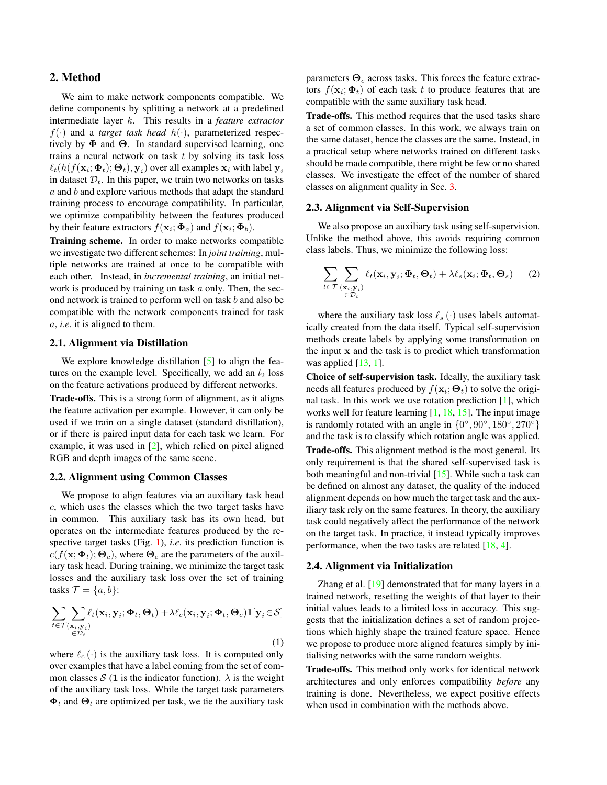## <span id="page-1-3"></span><span id="page-1-0"></span>2. Method

We aim to make network components compatible. We define components by splitting a network at a predefined intermediate layer k. This results in a *feature extractor*  $f(\cdot)$  and a *target task head*  $h(\cdot)$ , parameterized respectively by  $\Phi$  and  $\Theta$ . In standard supervised learning, one trains a neural network on task  $t$  by solving its task loss  $\ell_t(h(f(\mathbf{x}_i;\mathbf{\Phi}_t);\mathbf{\Theta}_t), \mathbf{y}_i)$  over all examples  $\mathbf{x}_i$  with label  $\mathbf{y}_i$ in dataset  $\mathcal{D}_t$ . In this paper, we train two networks on tasks  $a$  and  $b$  and explore various methods that adapt the standard training process to encourage compatibility. In particular, we optimize compatibility between the features produced by their feature extractors  $f(\mathbf{x}_i; \mathbf{\Phi}_a)$  and  $f(\mathbf{x}_i; \mathbf{\Phi}_b)$ .

Training scheme. In order to make networks compatible we investigate two different schemes: In *joint training*, multiple networks are trained at once to be compatible with each other. Instead, in *incremental training*, an initial network is produced by training on task  $\alpha$  only. Then, the second network is trained to perform well on task b and also be compatible with the network components trained for task a, *i.e*. it is aligned to them.

### 2.1. Alignment via Distillation

We explore knowledge distillation [\[5\]](#page-3-13) to align the features on the example level. Specifically, we add an  $l_2$  loss on the feature activations produced by different networks.

Trade-offs. This is a strong form of alignment, as it aligns the feature activation per example. However, it can only be used if we train on a single dataset (standard distillation), or if there is paired input data for each task we learn. For example, it was used in [\[2\]](#page-3-14), which relied on pixel aligned RGB and depth images of the same scene.

#### <span id="page-1-1"></span>2.2. Alignment using Common Classes

We propose to align features via an auxiliary task head c, which uses the classes which the two target tasks have in common. This auxiliary task has its own head, but operates on the intermediate features produced by the respective target tasks (Fig. [1\)](#page-0-0), *i.e*. its prediction function is  $c(f(\mathbf{x}; \Phi_t); \Theta_c)$ , where  $\Theta_c$  are the parameters of the auxiliary task head. During training, we minimize the target task losses and the auxiliary task loss over the set of training tasks  $\mathcal{T} = \{a, b\}$ :

$$
\sum_{t \in \mathcal{T}(\mathbf{x}_i, \mathbf{y}_i)} \sum_{\substack{\ell \in \mathcal{D}_t}} \ell_t(\mathbf{x}_i, \mathbf{y}_i; \boldsymbol{\Phi}_t, \boldsymbol{\Theta}_t) + \lambda \ell_c(\mathbf{x}_i, \mathbf{y}_i; \boldsymbol{\Phi}_t, \boldsymbol{\Theta}_c) \mathbf{1}[\mathbf{y}_i \in \mathcal{S}]
$$
\n(1)

where  $\ell_c (\cdot)$  is the auxiliary task loss. It is computed only over examples that have a label coming from the set of common classes S (1 is the indicator function).  $\lambda$  is the weight of the auxiliary task loss. While the target task parameters  $\Phi_t$  and  $\Theta_t$  are optimized per task, we tie the auxiliary task parameters  $\Theta_c$  across tasks. This forces the feature extractors  $f(\mathbf{x}_i; \pmb{\Phi}_t)$  of each task t to produce features that are compatible with the same auxiliary task head.

Trade-offs. This method requires that the used tasks share a set of common classes. In this work, we always train on the same dataset, hence the classes are the same. Instead, in a practical setup where networks trained on different tasks should be made compatible, there might be few or no shared classes. We investigate the effect of the number of shared classes on alignment quality in Sec. [3.](#page-2-0)

#### <span id="page-1-2"></span>2.3. Alignment via Self-Supervision

We also propose an auxiliary task using self-supervision. Unlike the method above, this avoids requiring common class labels. Thus, we minimize the following loss:

$$
\sum_{t \in \mathcal{T}} \sum_{\substack{(\mathbf{x}_i, \mathbf{y}_i) \\ \in \mathcal{D}_t}} \ell_t(\mathbf{x}_i, \mathbf{y}_i; \boldsymbol{\Phi}_t, \boldsymbol{\Theta}_t) + \lambda \ell_s(\mathbf{x}_i; \boldsymbol{\Phi}_t, \boldsymbol{\Theta}_s) \qquad (2)
$$

where the auxiliary task loss  $\ell_s(\cdot)$  uses labels automatically created from the data itself. Typical self-supervision methods create labels by applying some transformation on the input  $x$  and the task is to predict which transformation was applied  $[13, 1]$  $[13, 1]$  $[13, 1]$ .

Choice of self-supervision task. Ideally, the auxiliary task needs all features produced by  $f(\mathbf{x}_i; \mathbf{\Theta}_t)$  to solve the original task. In this work we use rotation prediction [\[1\]](#page-3-12), which works well for feature learning  $[1, 18, 15]$  $[1, 18, 15]$  $[1, 18, 15]$  $[1, 18, 15]$  $[1, 18, 15]$ . The input image is randomly rotated with an angle in  $\{0^\circ, 90^\circ, 180^\circ, 270^\circ\}$ and the task is to classify which rotation angle was applied. Trade-offs. This alignment method is the most general. Its only requirement is that the shared self-supervised task is both meaningful and non-trivial [\[15\]](#page-3-4). While such a task can be defined on almost any dataset, the quality of the induced alignment depends on how much the target task and the auxiliary task rely on the same features. In theory, the auxiliary task could negatively affect the performance of the network on the target task. In practice, it instead typically improves performance, when the two tasks are related [\[18,](#page-3-3) [4\]](#page-3-16).

### 2.4. Alignment via Initialization

Zhang et al. [\[19\]](#page-3-17) demonstrated that for many layers in a trained network, resetting the weights of that layer to their initial values leads to a limited loss in accuracy. This suggests that the initialization defines a set of random projections which highly shape the trained feature space. Hence we propose to produce more aligned features simply by initialising networks with the same random weights.

Trade-offs. This method only works for identical network architectures and only enforces compatibility *before* any training is done. Nevertheless, we expect positive effects when used in combination with the methods above.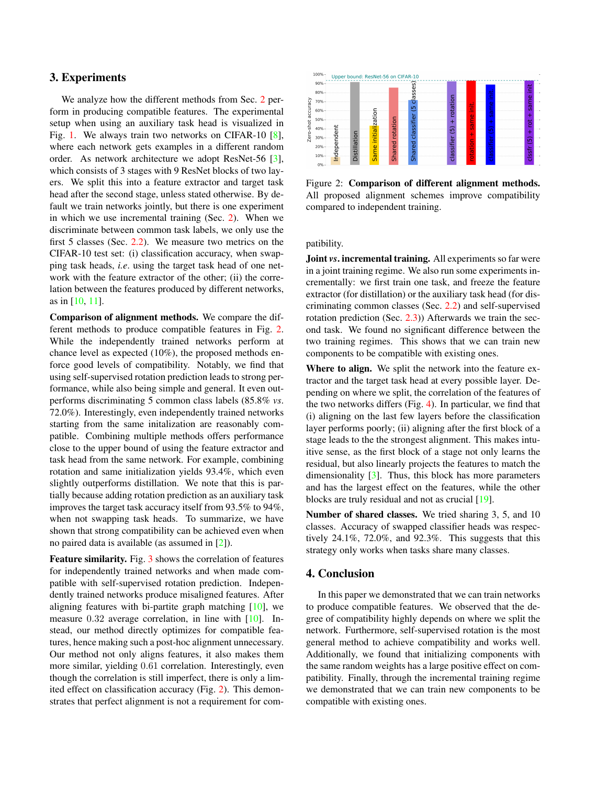## <span id="page-2-2"></span><span id="page-2-0"></span>3. Experiments

We analyze how the different methods from Sec. [2](#page-1-0) perform in producing compatible features. The experimental setup when using an auxiliary task head is visualized in Fig. [1.](#page-0-0) We always train two networks on CIFAR-10 [\[8\]](#page-3-11), where each network gets examples in a different random order. As network architecture we adopt ResNet-56 [\[3\]](#page-3-18), which consists of 3 stages with 9 ResNet blocks of two layers. We split this into a feature extractor and target task head after the second stage, unless stated otherwise. By default we train networks jointly, but there is one experiment in which we use incremental training (Sec. [2\)](#page-1-0). When we discriminate between common task labels, we only use the first 5 classes (Sec. [2.2\)](#page-1-1). We measure two metrics on the CIFAR-10 test set: (i) classification accuracy, when swapping task heads, *i.e*. using the target task head of one network with the feature extractor of the other; (ii) the correlation between the features produced by different networks, as in [\[10,](#page-3-5) [11\]](#page-3-6).

Comparison of alignment methods. We compare the different methods to produce compatible features in Fig. [2.](#page-2-1) While the independently trained networks perform at chance level as expected (10%), the proposed methods enforce good levels of compatibility. Notably, we find that using self-supervised rotation prediction leads to strong performance, while also being simple and general. It even outperforms discriminating 5 common class labels (85.8% *vs*. 72.0%). Interestingly, even independently trained networks starting from the same initalization are reasonably compatible. Combining multiple methods offers performance close to the upper bound of using the feature extractor and task head from the same network. For example, combining rotation and same initialization yields 93.4%, which even slightly outperforms distillation. We note that this is partially because adding rotation prediction as an auxiliary task improves the target task accuracy itself from 93.5% to 94%, when not swapping task heads. To summarize, we have shown that strong compatibility can be achieved even when no paired data is available (as assumed in [\[2\]](#page-3-14)).

Feature similarity. Fig. [3](#page-3-19) shows the correlation of features for independently trained networks and when made compatible with self-supervised rotation prediction. Independently trained networks produce misaligned features. After aligning features with bi-partite graph matching [\[10\]](#page-3-5), we measure 0.32 average correlation, in line with [\[10\]](#page-3-5). Instead, our method directly optimizes for compatible features, hence making such a post-hoc alignment unnecessary. Our method not only aligns features, it also makes them more similar, yielding 0.61 correlation. Interestingly, even though the correlation is still imperfect, there is only a limited effect on classification accuracy (Fig. [2\)](#page-2-1). This demonstrates that perfect alignment is not a requirement for com-

<span id="page-2-1"></span>

Figure 2: Comparison of different alignment methods. All proposed alignment schemes improve compatibility compared to independent training.

patibility.

**Joint** *vs*. incremental training. All experiments so far were in a joint training regime. We also run some experiments incrementally: we first train one task, and freeze the feature extractor (for distillation) or the auxiliary task head (for discriminating common classes (Sec. [2.2\)](#page-1-1) and self-supervised rotation prediction (Sec. [2.3\)](#page-1-2)) Afterwards we train the second task. We found no significant difference between the two training regimes. This shows that we can train new components to be compatible with existing ones.

Where to align. We split the network into the feature extractor and the target task head at every possible layer. Depending on where we split, the correlation of the features of the two networks differs (Fig. [4\)](#page-3-20). In particular, we find that (i) aligning on the last few layers before the classification layer performs poorly; (ii) aligning after the first block of a stage leads to the the strongest alignment. This makes intuitive sense, as the first block of a stage not only learns the residual, but also linearly projects the features to match the dimensionality [\[3\]](#page-3-18). Thus, this block has more parameters and has the largest effect on the features, while the other blocks are truly residual and not as crucial [\[19\]](#page-3-17).

Number of shared classes. We tried sharing 3, 5, and 10 classes. Accuracy of swapped classifier heads was respectively 24.1%, 72.0%, and 92.3%. This suggests that this strategy only works when tasks share many classes.

### 4. Conclusion

In this paper we demonstrated that we can train networks to produce compatible features. We observed that the degree of compatibility highly depends on where we split the network. Furthermore, self-supervised rotation is the most general method to achieve compatibility and works well. Additionally, we found that initializing components with the same random weights has a large positive effect on compatibility. Finally, through the incremental training regime we demonstrated that we can train new components to be compatible with existing ones.